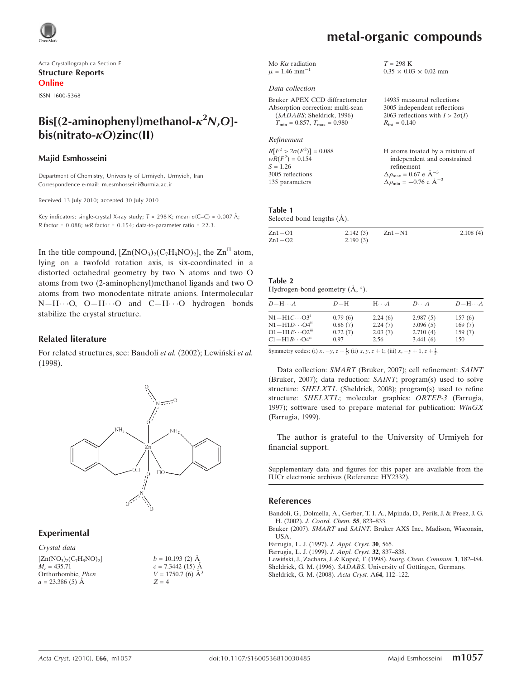Acta Crystallographica Section E Structure Reports Online

ISSN 1600-5368

# Bis[(2-aminophenyl)methanol- $\kappa^2 N$ ,O] $bis(nitrato- $\kappa$ O)zinc(II)$

#### Majid Esmhosseini

Department of Chemistry, University of Urmiyeh, Urmyieh, Iran Correspondence e-mail: m.esmhosseini@urmia.ac.ir

Received 13 July 2010; accepted 30 July 2010

Key indicators: single-crystal X-ray study;  $T = 298$  K; mean  $\sigma$ (C–C) = 0.007 Å; R factor =  $0.088$ ; wR factor =  $0.154$ ; data-to-parameter ratio = 22.3.

In the title compound,  $[Zn(NO<sub>3</sub>)<sub>2</sub>(C<sub>7</sub>H<sub>9</sub>NO)<sub>2</sub>]$ , the  $Zn<sup>II</sup>$  atom, lying on a twofold rotation axis, is six-coordinated in a distorted octahedral geometry by two N atoms and two O atoms from two (2-aminophenyl)methanol ligands and two O atoms from two monodentate nitrate anions. Intermolecular  $N-H\cdots$ O, O $-H\cdots$ O and C $-H\cdots$ O hydrogen bonds stabilize the crystal structure.

#### Related literature

For related structures, see: Bandoli et al. (2002); Lewiński et al. (1998).



## Experimental

Crystal data

 $[Zn(NO<sub>3</sub>)<sub>2</sub>(C<sub>7</sub>H<sub>9</sub>NO)<sub>2</sub>]$  $M_r = 435.71$ Orthorhombic, Pbcn  $a = 23.386(5)$  Å

| $b = 10.193$ (2) Å       |
|--------------------------|
| $c = 7.3442(15)$ Å       |
| $V = 1750.7$ (6) $\AA^3$ |
| $Z = 4$                  |

Mo  $K\alpha$  radiation  $\mu = 1.46$  mm<sup>-1</sup>

#### Data collection

Bruker APEX CCD diffractometer Absorption correction: multi-scan (SADABS; Sheldrick, 1996)  $T_{\text{min}} = 0.857, T_{\text{max}} = 0.980$ 

#### Refinement

| $R[F^2 > 2\sigma(F^2)] = 0.088$ | H atoms treated by a mixture of                    |
|---------------------------------|----------------------------------------------------|
| $wR(F^2) = 0.154$               | independent and constrained                        |
| $S = 1.26$                      | refinement                                         |
| 3005 reflections                | $\Delta \rho_{\text{max}} = 0.67 \text{ e A}^{-3}$ |
| 135 parameters                  | $\Delta \rho_{\text{min}} = -0.76$ e $\AA^{-3}$    |

### Table 1

Selected bond lengths  $(\AA)$ .

| $Zn1 - O1$ | 2.142(3) | $Zn1-N1$ | 2.108(4) |
|------------|----------|----------|----------|
| $Zn1-O2$   | 2.190(3) |          |          |

## Table 2

Hydrogen-bond geometry  $(\mathring{A}, \degree)$ .

| $D - H \cdots A$                    | $D-H$   | $H \cdot \cdot \cdot A$ | $D\cdots A$ | $D - H \cdots A$ |
|-------------------------------------|---------|-------------------------|-------------|------------------|
| $N1-H1C\cdots O31$                  | 0.79(6) | 2.24(6)                 | 2.987(5)    | 157(6)           |
| $N1 - H1D \cdots O4$ <sup>ii</sup>  | 0.86(7) | 2.24(7)                 | 3.096(5)    | 169(7)           |
| $O1 - H1E \cdots O2$ <sup>iii</sup> | 0.72(7) | 2.03(7)                 | 2.710(4)    | 159(7)           |
| $C1 - H1B \cdots O4$ <sup>ii</sup>  | 0.97    | 2.56                    | 3.441(6)    | 150              |
|                                     |         |                         |             |                  |

Symmetry codes: (i)  $x, -y, z + \frac{1}{2}$ ; (ii)  $x, y, z + 1$ ; (iii)  $x, -y + 1, z + \frac{1}{2}$ .

Data collection: SMART (Bruker, 2007); cell refinement: SAINT (Bruker, 2007); data reduction: SAINT; program(s) used to solve structure: SHELXTL (Sheldrick, 2008); program(s) used to refine structure: SHELXTL; molecular graphics: ORTEP-3 (Farrugia, 1997); software used to prepare material for publication:  $WinGX$ (Farrugia, 1999).

The author is grateful to the University of Urmiyeh for financial support.

Supplementary data and figures for this paper are available from the IUCr electronic archives (Reference: HY2332).

#### References

[Bandoli, G., Dolmella, A., Gerber, T. I. A., Mpinda, D., Perils, J. & Preez, J. G.](https://scripts.iucr.org/cgi-bin/cr.cgi?rm=pdfbb&cnor=hy2332&bbid=BB1) H. (2002). [J. Coord. Chem.](https://scripts.iucr.org/cgi-bin/cr.cgi?rm=pdfbb&cnor=hy2332&bbid=BB1) 55, 823–833.

Bruker (2007). SMART and SAINT[. Bruker AXS Inc., Madison, Wisconsin,](https://scripts.iucr.org/cgi-bin/cr.cgi?rm=pdfbb&cnor=hy2332&bbid=BB2) [USA.](https://scripts.iucr.org/cgi-bin/cr.cgi?rm=pdfbb&cnor=hy2332&bbid=BB2)

- [Farrugia, L. J. \(1997\).](https://scripts.iucr.org/cgi-bin/cr.cgi?rm=pdfbb&cnor=hy2332&bbid=BB3) J. Appl. Cryst. 30, 565.
- [Farrugia, L. J. \(1999\).](https://scripts.iucr.org/cgi-bin/cr.cgi?rm=pdfbb&cnor=hy2332&bbid=BB4) J. Appl. Cryst. 32, 837–838.
- Lewiński, J., Zachara, J. & Kopeć, T. (1998). Inorg. Chem. Commun. 1, 182-l84.
- Sheldrick, G. M. (1996). SADABS. University of Göttingen, Germany.
- [Sheldrick, G. M. \(2008\).](https://scripts.iucr.org/cgi-bin/cr.cgi?rm=pdfbb&cnor=hy2332&bbid=BB7) Acta Cryst. A64, 112–122.

 $0.35 \times 0.03 \times 0.02$  mm

14935 measured reflections 3005 independent reflections 2063 reflections with  $I > 2\sigma(I)$ 

 $T = 298$  K

 $R_{\text{int}} = 0.140$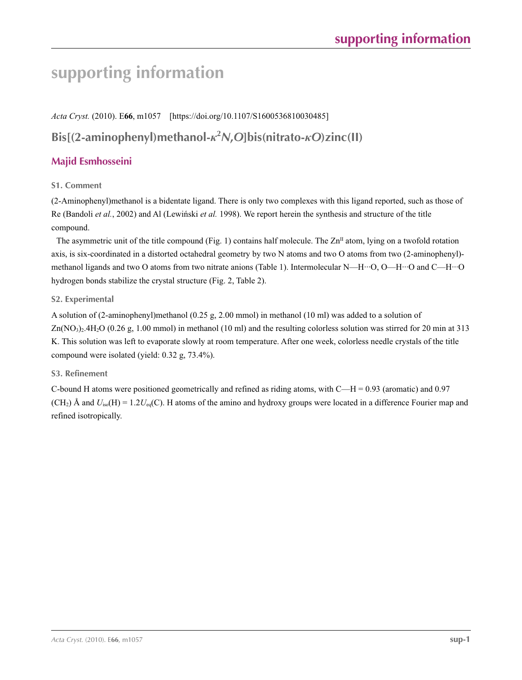# **supporting information**

*Acta Cryst.* (2010). E**66**, m1057 [https://doi.org/10.1107/S1600536810030485]

# **Bis[(2-aminophenyl)methanol-***κ***<sup>2</sup>** *N***,***O***]bis(nitrato-***κO***)zinc(II)**

# **Majid Esmhosseini**

## **S1. Comment**

(2-Aminophenyl)methanol is a bidentate ligand. There is only two complexes with this ligand reported, such as those of Re (Bandoli *et al.*, 2002) and Al (Lewiński *et al.* 1998). We report herein the synthesis and structure of the title compound.

The asymmetric unit of the title compound (Fig. 1) contains half molecule. The  $\text{Zn}^{\text{II}}$  atom, lying on a twofold rotation axis, is six-coordinated in a distorted octahedral geometry by two N atoms and two O atoms from two (2-aminophenyl) methanol ligands and two O atoms from two nitrate anions (Table 1). Intermolecular N—H···O, O—H···O and C—H···O hydrogen bonds stabilize the crystal structure (Fig. 2, Table 2).

## **S2. Experimental**

A solution of (2-aminophenyl)methanol (0.25 g, 2.00 mmol) in methanol (10 ml) was added to a solution of  $Zn(NO<sub>3</sub>)<sub>2</sub>4H<sub>2</sub>O$  (0.26 g, 1.00 mmol) in methanol (10 ml) and the resulting colorless solution was stirred for 20 min at 313 K. This solution was left to evaporate slowly at room temperature. After one week, colorless needle crystals of the title compound were isolated (yield: 0.32 g, 73.4%).

## **S3. Refinement**

C-bound H atoms were positioned geometrically and refined as riding atoms, with C—H = 0.93 (aromatic) and 0.97  $(CH<sub>2</sub>)$  Å and  $U<sub>iso</sub>(H) = 1.2U<sub>eq</sub>(C)$ . H atoms of the amino and hydroxy groups were located in a difference Fourier map and refined isotropically.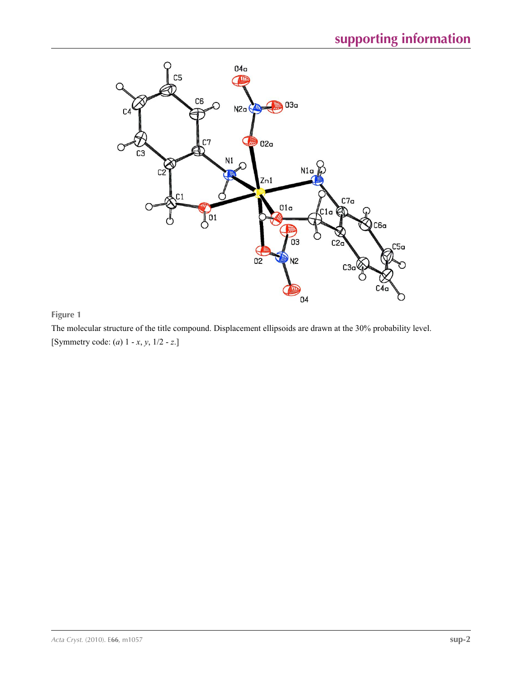

## **Figure 1**

The molecular structure of the title compound. Displacement ellipsoids are drawn at the 30% probability level. [Symmetry code: (*a*) 1 - *x*, *y*, 1/2 - *z*.]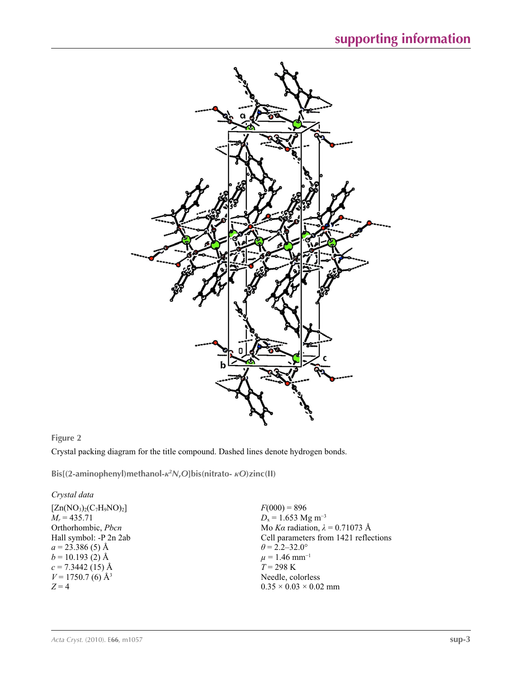

## **Figure 2**

Crystal packing diagram for the title compound. Dashed lines denote hydrogen bonds.

**Bis[(2-aminophenyl)methanol-***κ***<sup>2</sup>** *N***,***O***]bis(nitrato-** *κO***)zinc(II)** 

### *Crystal data*

 $[Zn(NO<sub>3</sub>)<sub>2</sub>(C<sub>7</sub>H<sub>9</sub>NO)<sub>2</sub>]$  $M_r = 435.71$ Orthorhombic, *Pbcn* Hall symbol: -P 2n 2ab  $a = 23.386(5)$  Å  $b = 10.193$  (2) Å  $c = 7.3442$  (15) Å  $V = 1750.7$  (6) Å<sup>3</sup>  $Z = 4$ 

 $F(000) = 896$  $D_x = 1.653$  Mg m<sup>-3</sup> Mo *Kα* radiation, *λ* = 0.71073 Å Cell parameters from 1421 reflections  $\theta = 2.2 - 32.0^{\circ}$  $\mu = 1.46$  mm<sup>-1</sup> *T* = 298 K Needle, colorless  $0.35 \times 0.03 \times 0.02$  mm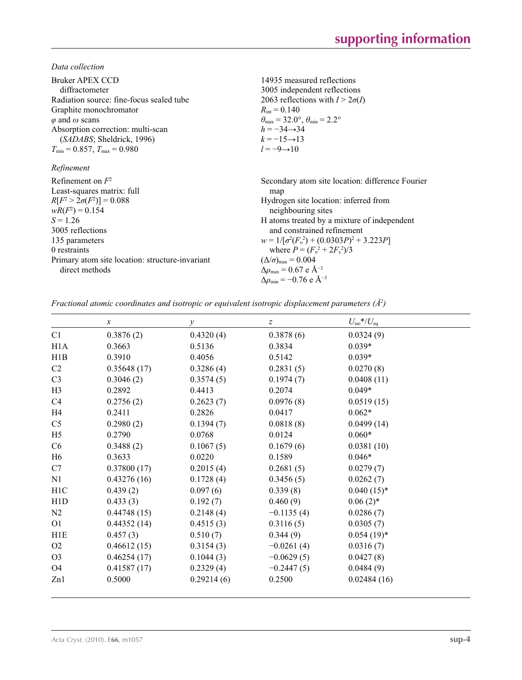*Data collection*

| Bruker APEX CCD<br>diffractometer<br>Radiation source: fine-focus sealed tube<br>Graphite monochromator<br>$\varphi$ and $\omega$ scans<br>Absorption correction: multi-scan<br>(SADABS; Sheldrick, 1996)<br>$T_{\min}$ = 0.857, $T_{\max}$ = 0.980<br>Refinement | 14935 measured reflections<br>3005 independent reflections<br>2063 reflections with $I > 2\sigma(I)$<br>$R_{\text{int}} = 0.140$<br>$\theta_{\text{max}} = 32.0^{\circ}, \theta_{\text{min}} = 2.2^{\circ}$<br>$h = -34 \rightarrow 34$<br>$k = -15 \rightarrow 13$<br>$l = -9 \rightarrow 10$                                                                                                                                                |
|-------------------------------------------------------------------------------------------------------------------------------------------------------------------------------------------------------------------------------------------------------------------|-----------------------------------------------------------------------------------------------------------------------------------------------------------------------------------------------------------------------------------------------------------------------------------------------------------------------------------------------------------------------------------------------------------------------------------------------|
| Refinement on $F^2$<br>Least-squares matrix: full<br>$R[F^2 > 2\sigma(F^2)] = 0.088$<br>$wR(F^2) = 0.154$<br>$S = 1.26$<br>3005 reflections<br>135 parameters<br>0 restraints<br>Primary atom site location: structure-invariant<br>direct methods                | Secondary atom site location: difference Fourier<br>map<br>Hydrogen site location: inferred from<br>neighbouring sites<br>H atoms treated by a mixture of independent<br>and constrained refinement<br>$w = 1/[\sigma^2(F_0^2) + (0.0303P)^2 + 3.223P]$<br>where $P = (F_0^2 + 2F_c^2)/3$<br>$(\Delta/\sigma)_{\text{max}} = 0.004$<br>$\Delta\rho_{\text{max}}$ = 0.67 e Å <sup>-3</sup><br>$\Delta\rho_{\rm min} = -0.76$ e Å <sup>-3</sup> |

*Fractional atomic coordinates and isotropic or equivalent isotropic displacement parameters (Å<sup>2</sup>)* 

|                  | $\boldsymbol{x}$ | $\mathcal{Y}$ | $\boldsymbol{Z}$ | $U_{\rm iso}*/U_{\rm eq}$ |  |
|------------------|------------------|---------------|------------------|---------------------------|--|
| C1               | 0.3876(2)        | 0.4320(4)     | 0.3878(6)        | 0.0324(9)                 |  |
| H <sub>1</sub> A | 0.3663           | 0.5136        | 0.3834           | $0.039*$                  |  |
| H1B              | 0.3910           | 0.4056        | 0.5142           | $0.039*$                  |  |
| C <sub>2</sub>   | 0.35648(17)      | 0.3286(4)     | 0.2831(5)        | 0.0270(8)                 |  |
| C <sub>3</sub>   | 0.3046(2)        | 0.3574(5)     | 0.1974(7)        | 0.0408(11)                |  |
| H <sub>3</sub>   | 0.2892           | 0.4413        | 0.2074           | $0.049*$                  |  |
| C <sub>4</sub>   | 0.2756(2)        | 0.2623(7)     | 0.0976(8)        | 0.0519(15)                |  |
| H <sub>4</sub>   | 0.2411           | 0.2826        | 0.0417           | $0.062*$                  |  |
| C <sub>5</sub>   | 0.2980(2)        | 0.1394(7)     | 0.0818(8)        | 0.0499(14)                |  |
| H <sub>5</sub>   | 0.2790           | 0.0768        | 0.0124           | $0.060*$                  |  |
| C6               | 0.3488(2)        | 0.1067(5)     | 0.1679(6)        | 0.0381(10)                |  |
| H <sub>6</sub>   | 0.3633           | 0.0220        | 0.1589           | $0.046*$                  |  |
| C7               | 0.37800(17)      | 0.2015(4)     | 0.2681(5)        | 0.0279(7)                 |  |
| N1               | 0.43276(16)      | 0.1728(4)     | 0.3456(5)        | 0.0262(7)                 |  |
| H <sub>1</sub> C | 0.439(2)         | 0.097(6)      | 0.339(8)         | $0.040(15)^*$             |  |
| H1D              | 0.433(3)         | 0.192(7)      | 0.460(9)         | $0.06(2)$ *               |  |
| N <sub>2</sub>   | 0.44748(15)      | 0.2148(4)     | $-0.1135(4)$     | 0.0286(7)                 |  |
| O <sub>1</sub>   | 0.44352(14)      | 0.4515(3)     | 0.3116(5)        | 0.0305(7)                 |  |
| H1E              | 0.457(3)         | 0.510(7)      | 0.344(9)         | $0.054(19)^*$             |  |
| O <sub>2</sub>   | 0.46612(15)      | 0.3154(3)     | $-0.0261(4)$     | 0.0316(7)                 |  |
| O <sub>3</sub>   | 0.46254(17)      | 0.1044(3)     | $-0.0629(5)$     | 0.0427(8)                 |  |
| O4               | 0.41587(17)      | 0.2329(4)     | $-0.2447(5)$     | 0.0484(9)                 |  |
| Zn1              | 0.5000           | 0.29214(6)    | 0.2500           | 0.02484(16)               |  |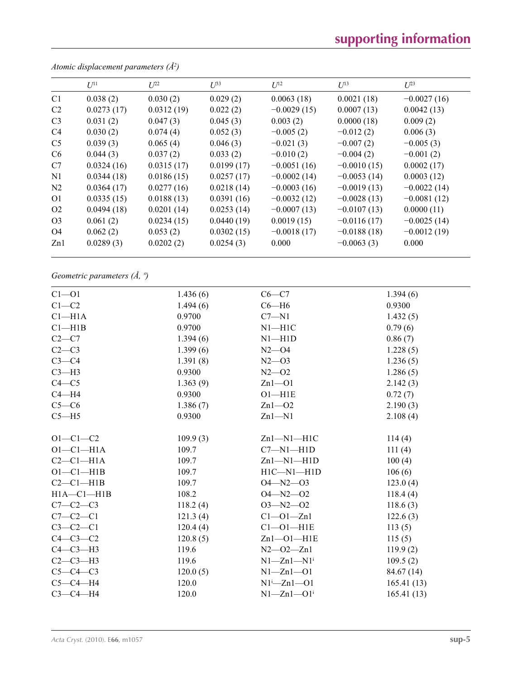# **supporting information**

|                | $U^{11}$   | $L^{22}$   | $I^{\beta 3}$ | $U^{12}$      | $U^{13}$      | $\mathbb{Z}^{23}$ |
|----------------|------------|------------|---------------|---------------|---------------|-------------------|
| C <sub>1</sub> | 0.038(2)   | 0.030(2)   | 0.029(2)      | 0.0063(18)    | 0.0021(18)    | $-0.0027(16)$     |
| C <sub>2</sub> | 0.0273(17) | 0.0312(19) | 0.022(2)      | $-0.0029(15)$ | 0.0007(13)    | 0.0042(13)        |
| C <sub>3</sub> | 0.031(2)   | 0.047(3)   | 0.045(3)      | 0.003(2)      | 0.0000(18)    | 0.009(2)          |
| C <sub>4</sub> | 0.030(2)   | 0.074(4)   | 0.052(3)      | $-0.005(2)$   | $-0.012(2)$   | 0.006(3)          |
| C <sub>5</sub> | 0.039(3)   | 0.065(4)   | 0.046(3)      | $-0.021(3)$   | $-0.007(2)$   | $-0.005(3)$       |
| C <sub>6</sub> | 0.044(3)   | 0.037(2)   | 0.033(2)      | $-0.010(2)$   | $-0.004(2)$   | $-0.001(2)$       |
| C7             | 0.0324(16) | 0.0315(17) | 0.0199(17)    | $-0.0051(16)$ | $-0.0010(15)$ | 0.0002(17)        |
| N1             | 0.0344(18) | 0.0186(15) | 0.0257(17)    | $-0.0002(14)$ | $-0.0053(14)$ | 0.0003(12)        |
| N <sub>2</sub> | 0.0364(17) | 0.0277(16) | 0.0218(14)    | $-0.0003(16)$ | $-0.0019(13)$ | $-0.0022(14)$     |
| O <sub>1</sub> | 0.0335(15) | 0.0188(13) | 0.0391(16)    | $-0.0032(12)$ | $-0.0028(13)$ | $-0.0081(12)$     |
| O <sub>2</sub> | 0.0494(18) | 0.0201(14) | 0.0253(14)    | $-0.0007(13)$ | $-0.0107(13)$ | 0.0000(11)        |
| O <sub>3</sub> | 0.061(2)   | 0.0234(15) | 0.0440(19)    | 0.0019(15)    | $-0.0116(17)$ | $-0.0025(14)$     |
| O4             | 0.062(2)   | 0.053(2)   | 0.0302(15)    | $-0.0018(17)$ | $-0.0188(18)$ | $-0.0012(19)$     |
| Zn1            | 0.0289(3)  | 0.0202(2)  | 0.0254(3)     | 0.000         | $-0.0063(3)$  | 0.000             |
|                |            |            |               |               |               |                   |

*Atomic displacement parameters (Å2 )*

*Geometric parameters (Å, º)*

| $Cl - O1$        | 1.436(6) | $C6-C7$                      | 1.394(6)   |
|------------------|----------|------------------------------|------------|
| $C1-C2$          | 1.494(6) | $C6 - H6$                    | 0.9300     |
| $Cl-H1A$         | 0.9700   | $C7 - N1$                    | 1.432(5)   |
| Cl—H1B           | 0.9700   | $N1 - H1C$                   | 0.79(6)    |
| $C2-C7$          | 1.394(6) | $N1 - H1D$                   | 0.86(7)    |
| $C2-C3$          | 1.399(6) | $N2 - 04$                    | 1.228(5)   |
| $C3-C4$          | 1.391(8) | $N2 - 03$                    | 1.236(5)   |
| $C3-H3$          | 0.9300   | $N2 - 02$                    | 1.286(5)   |
| $C4 - C5$        | 1.363(9) | $Zn1 - O1$                   | 2.142(3)   |
| $C4 - H4$        | 0.9300   | $O1 - H1E$                   | 0.72(7)    |
| $C5-C6$          | 1.386(7) | $Zn1 - O2$                   | 2.190(3)   |
| $C5 - H5$        | 0.9300   | $Zn1 - N1$                   | 2.108(4)   |
|                  |          |                              |            |
| $O1 - C1 - C2$   | 109.9(3) | $Zn1-M1-H1C$                 | 114(4)     |
| $O1-C1-H1A$      | 109.7    | $C7 - N1 - H1D$              | 111(4)     |
| $C2-C1-H1A$      | 109.7    | $Zn1-M1-H1D$                 | 100(4)     |
| $O1-C1-H1B$      | 109.7    | $H1C - N1 - H1D$             | 106(6)     |
| $C2-C1-H1B$      | 109.7    | $O4 - N2 - O3$               | 123.0(4)   |
| $H1A - C1 - H1B$ | 108.2    | $O4 - N2 - O2$               | 118.4(4)   |
| $C7 - C2 - C3$   | 118.2(4) | $O3 - N2 - O2$               | 118.6(3)   |
| $C7-C2-C1$       | 121.3(4) | $Cl - O1 - Zn1$              | 122.6(3)   |
| $C3-C2-C1$       | 120.4(4) | $Cl$ - $O$ $I$ $-H1E$        | 113(5)     |
| $C4-C3-C2$       | 120.8(5) | $Zn1 - O1 - H1E$             | 115(5)     |
| $C4-C3-H3$       | 119.6    | $N2 - 02 - Zn1$              | 119.9(2)   |
| $C2-C3-H3$       | 119.6    | $N1 - Zn1 - N1$ <sup>i</sup> | 109.5(2)   |
| $C5-C4-C3$       | 120.0(5) | $N1 - Zn1 - 01$              | 84.67 (14) |
| $C5-C4-H4$       | 120.0    | $N1^i$ -Zn $1$ -O1           | 165.41(13) |
| $C3-C4-H4$       | 120.0    | $N1 - Zn1 - O1$ <sup>i</sup> | 165.41(13) |
|                  |          |                              |            |